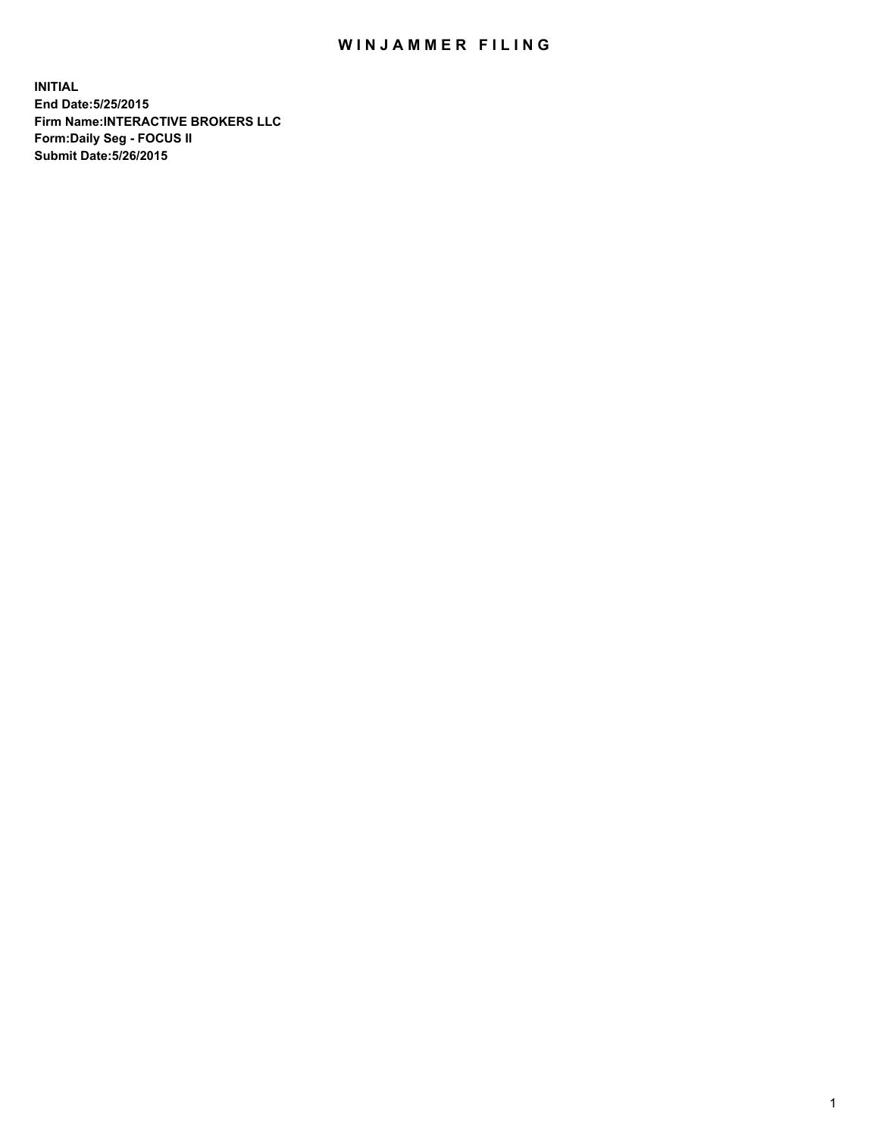## WIN JAMMER FILING

**INITIAL End Date:5/25/2015 Firm Name:INTERACTIVE BROKERS LLC Form:Daily Seg - FOCUS II Submit Date:5/26/2015**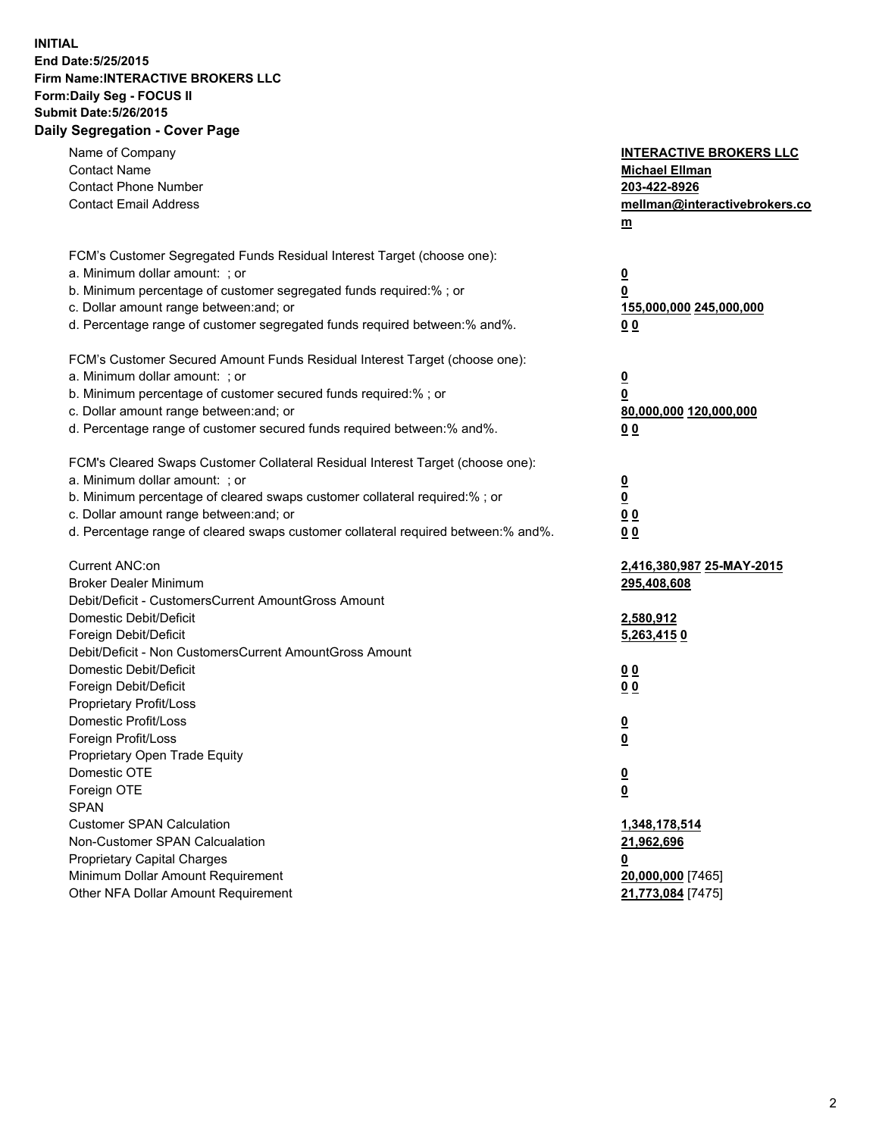## **INITIAL End Date:5/25/2015 Firm Name:INTERACTIVE BROKERS LLC Form:Daily Seg - FOCUS II Submit Date:5/26/2015 Daily Segregation - Cover Page**

| Name of Company<br><b>Contact Name</b><br><b>Contact Phone Number</b><br><b>Contact Email Address</b>    | <b>INTERACTIVE BROKERS LLC</b><br><b>Michael Ellman</b><br>203-422-8926<br>mellman@interactivebrokers.co<br>$m$ |  |
|----------------------------------------------------------------------------------------------------------|-----------------------------------------------------------------------------------------------------------------|--|
| FCM's Customer Segregated Funds Residual Interest Target (choose one):<br>a. Minimum dollar amount: ; or | $\overline{\mathbf{0}}$                                                                                         |  |
| b. Minimum percentage of customer segregated funds required:% ; or                                       | 0                                                                                                               |  |
| c. Dollar amount range between: and; or                                                                  | 155,000,000 245,000,000                                                                                         |  |
| d. Percentage range of customer segregated funds required between:% and%.                                | 0 <sub>0</sub>                                                                                                  |  |
| FCM's Customer Secured Amount Funds Residual Interest Target (choose one):                               |                                                                                                                 |  |
| a. Minimum dollar amount: ; or                                                                           | $\overline{\mathbf{0}}$                                                                                         |  |
| b. Minimum percentage of customer secured funds required:% ; or                                          | 0                                                                                                               |  |
| c. Dollar amount range between: and; or                                                                  | 80,000,000 120,000,000                                                                                          |  |
| d. Percentage range of customer secured funds required between:% and%.                                   | 0 <sub>0</sub>                                                                                                  |  |
| FCM's Cleared Swaps Customer Collateral Residual Interest Target (choose one):                           |                                                                                                                 |  |
| a. Minimum dollar amount: ; or                                                                           | $\overline{\mathbf{0}}$                                                                                         |  |
| b. Minimum percentage of cleared swaps customer collateral required:% ; or                               | $\overline{\mathbf{0}}$                                                                                         |  |
| c. Dollar amount range between: and; or                                                                  | 0 <sub>0</sub>                                                                                                  |  |
| d. Percentage range of cleared swaps customer collateral required between:% and%.                        | 0 <sub>0</sub>                                                                                                  |  |
| Current ANC:on                                                                                           | 2,416,380,987 25-MAY-2015                                                                                       |  |
| <b>Broker Dealer Minimum</b>                                                                             | 295,408,608                                                                                                     |  |
| Debit/Deficit - CustomersCurrent AmountGross Amount                                                      |                                                                                                                 |  |
| Domestic Debit/Deficit                                                                                   | 2,580,912                                                                                                       |  |
| Foreign Debit/Deficit                                                                                    | 5,263,4150                                                                                                      |  |
| Debit/Deficit - Non CustomersCurrent AmountGross Amount                                                  |                                                                                                                 |  |
| Domestic Debit/Deficit                                                                                   | 0 <sub>0</sub>                                                                                                  |  |
| Foreign Debit/Deficit<br>Proprietary Profit/Loss                                                         | 0 <sub>0</sub>                                                                                                  |  |
| Domestic Profit/Loss                                                                                     |                                                                                                                 |  |
| Foreign Profit/Loss                                                                                      | $\overline{\mathbf{0}}$<br>$\underline{\mathbf{0}}$                                                             |  |
| Proprietary Open Trade Equity                                                                            |                                                                                                                 |  |
| Domestic OTE                                                                                             | <u>0</u>                                                                                                        |  |
| Foreign OTE                                                                                              | <u>0</u>                                                                                                        |  |
| <b>SPAN</b>                                                                                              |                                                                                                                 |  |
| <b>Customer SPAN Calculation</b>                                                                         | 1,348,178,514                                                                                                   |  |
| Non-Customer SPAN Calcualation                                                                           | 21,962,696                                                                                                      |  |
| Proprietary Capital Charges                                                                              | <u>0</u>                                                                                                        |  |
| Minimum Dollar Amount Requirement                                                                        | 20,000,000 [7465]                                                                                               |  |
| Other NFA Dollar Amount Requirement                                                                      | 21,773,084 [7475]                                                                                               |  |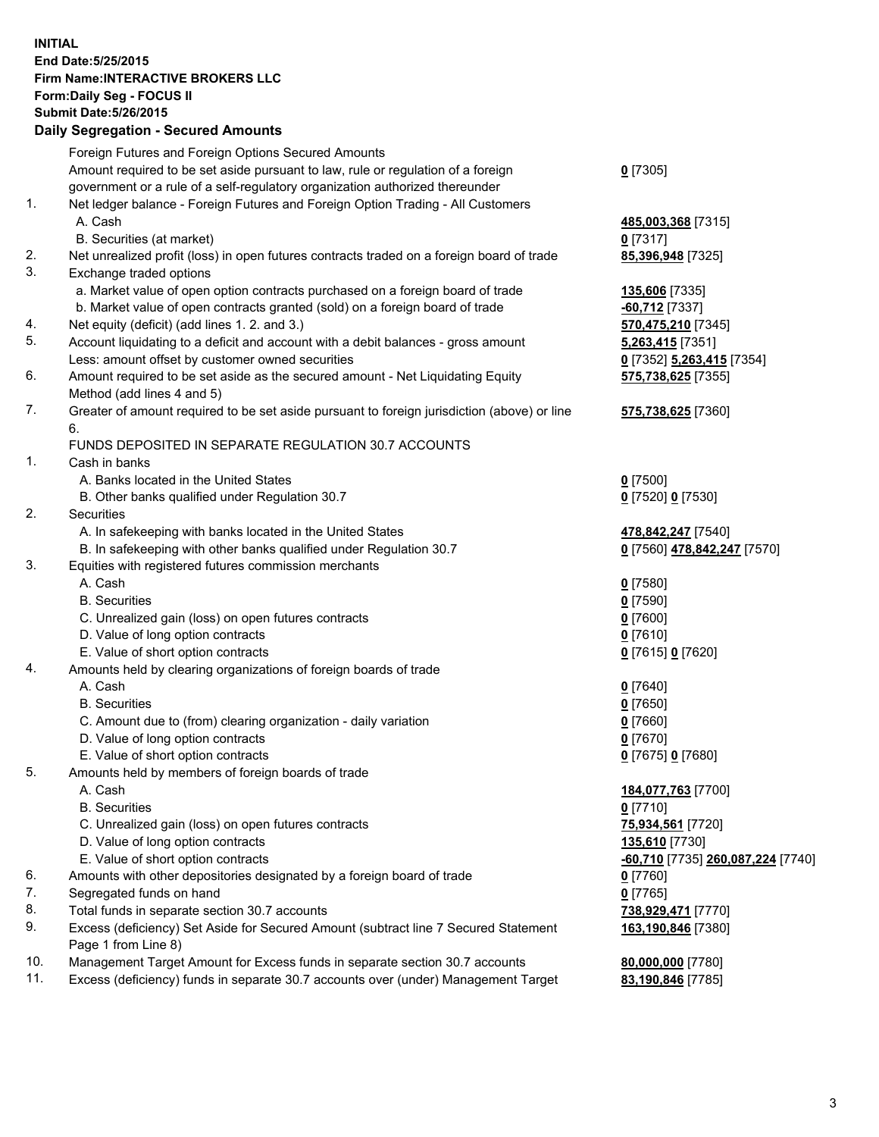## **INITIAL End Date:5/25/2015 Firm Name:INTERACTIVE BROKERS LLC Form:Daily Seg - FOCUS II Submit Date:5/26/2015 Daily Segregation - Secured Amounts**

| 0 [7352] 5,263,415 [7354]                      |
|------------------------------------------------|
|                                                |
|                                                |
|                                                |
|                                                |
|                                                |
|                                                |
|                                                |
|                                                |
|                                                |
|                                                |
| 0 [7560] 478,842,247 [7570]                    |
|                                                |
|                                                |
|                                                |
|                                                |
|                                                |
|                                                |
|                                                |
|                                                |
|                                                |
|                                                |
|                                                |
|                                                |
|                                                |
|                                                |
|                                                |
|                                                |
|                                                |
| <mark>-60,710</mark> [7735] 260,087,224 [7740] |
|                                                |
|                                                |
|                                                |
|                                                |
|                                                |
|                                                |
|                                                |
|                                                |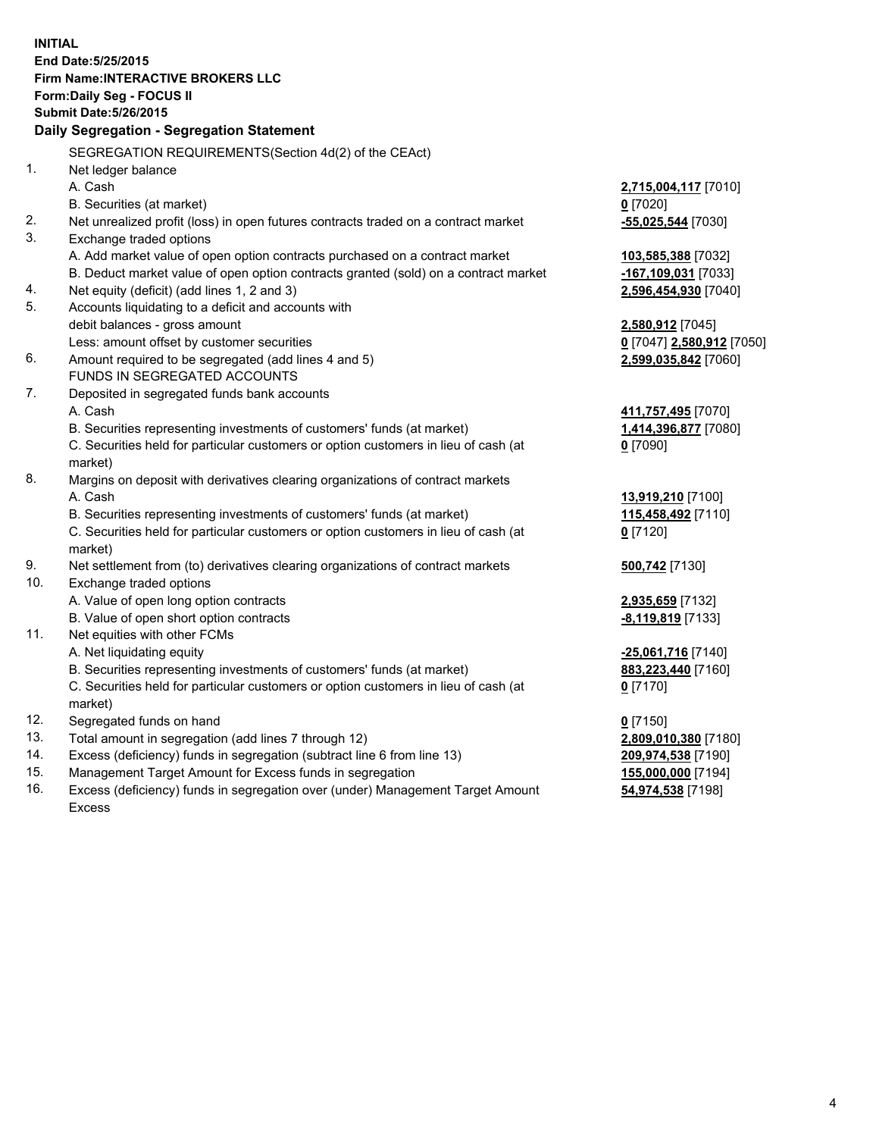**INITIAL End Date:5/25/2015 Firm Name:INTERACTIVE BROKERS LLC Form:Daily Seg - FOCUS II Submit Date:5/26/2015 Daily Segregation - Segregation Statement** SEGREGATION REQUIREMENTS(Section 4d(2) of the CEAct) 1. Net ledger balance A. Cash **2,715,004,117** [7010] B. Securities (at market) **0** [7020] 2. Net unrealized profit (loss) in open futures contracts traded on a contract market **-55,025,544** [7030] 3. Exchange traded options A. Add market value of open option contracts purchased on a contract market **103,585,388** [7032] B. Deduct market value of open option contracts granted (sold) on a contract market **-167,109,031** [7033] 4. Net equity (deficit) (add lines 1, 2 and 3) **2,596,454,930** [7040] 5. Accounts liquidating to a deficit and accounts with debit balances - gross amount **2,580,912** [7045] Less: amount offset by customer securities **0** [7047] **2,580,912** [7050] 6. Amount required to be segregated (add lines 4 and 5) **2,599,035,842** [7060] FUNDS IN SEGREGATED ACCOUNTS 7. Deposited in segregated funds bank accounts A. Cash **411,757,495** [7070] B. Securities representing investments of customers' funds (at market) **1,414,396,877** [7080] C. Securities held for particular customers or option customers in lieu of cash (at market) **0** [7090] 8. Margins on deposit with derivatives clearing organizations of contract markets A. Cash **13,919,210** [7100] B. Securities representing investments of customers' funds (at market) **115,458,492** [7110] C. Securities held for particular customers or option customers in lieu of cash (at market) **0** [7120] 9. Net settlement from (to) derivatives clearing organizations of contract markets **500,742** [7130] 10. Exchange traded options A. Value of open long option contracts **2,935,659** [7132] B. Value of open short option contracts **-8,119,819** [7133] 11. Net equities with other FCMs A. Net liquidating equity **-25,061,716** [7140] B. Securities representing investments of customers' funds (at market) **883,223,440** [7160] C. Securities held for particular customers or option customers in lieu of cash (at market) **0** [7170] 12. Segregated funds on hand **0** [7150] 13. Total amount in segregation (add lines 7 through 12) **2,809,010,380** [7180] 14. Excess (deficiency) funds in segregation (subtract line 6 from line 13) **209,974,538** [7190] 15. Management Target Amount for Excess funds in segregation **155,000,000** [7194]

16. Excess (deficiency) funds in segregation over (under) Management Target Amount Excess

**54,974,538** [7198]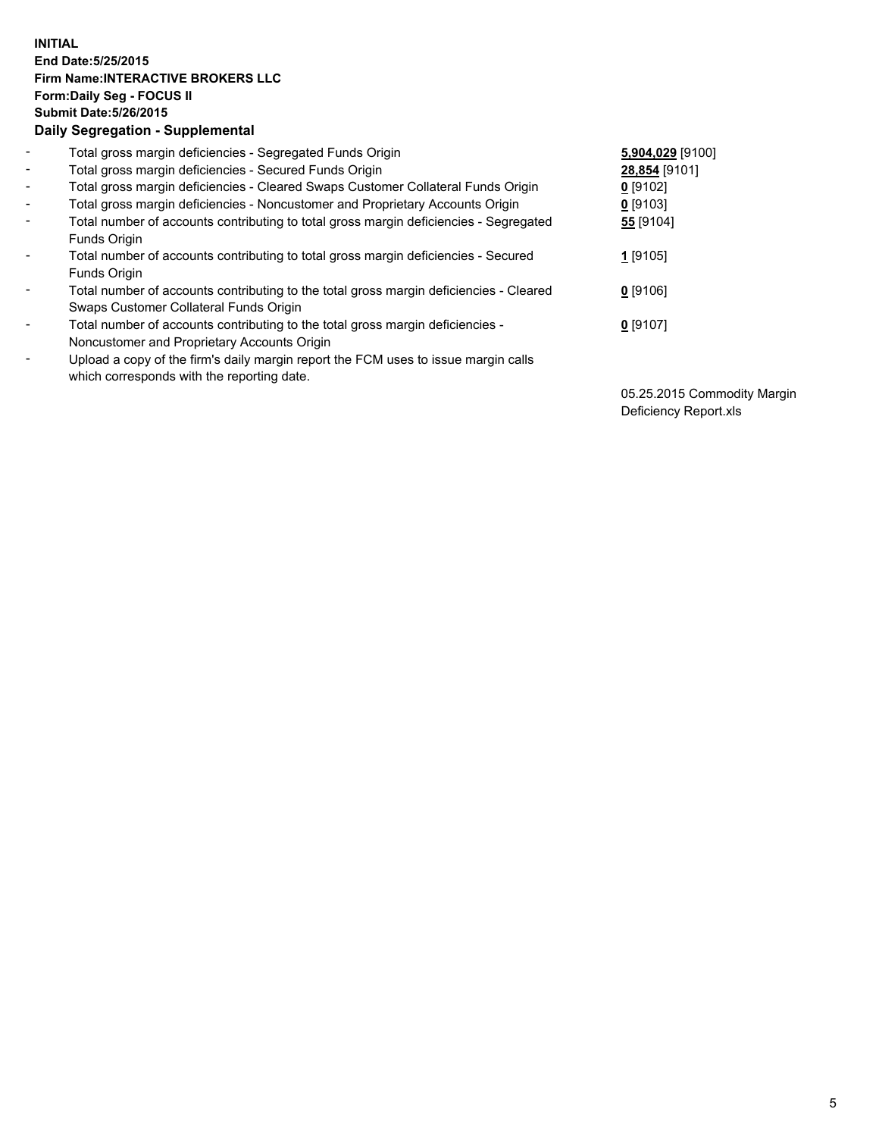## **INITIAL End Date:5/25/2015 Firm Name:INTERACTIVE BROKERS LLC Form:Daily Seg - FOCUS II Submit Date:5/26/2015 Daily Segregation - Supplemental**

| $\blacksquare$           | Total gross margin deficiencies - Segregated Funds Origin                                                                        | 5,904,029 [9100] |
|--------------------------|----------------------------------------------------------------------------------------------------------------------------------|------------------|
| $\blacksquare$           | Total gross margin deficiencies - Secured Funds Origin                                                                           | 28,854 [9101]    |
| $\blacksquare$           | Total gross margin deficiencies - Cleared Swaps Customer Collateral Funds Origin                                                 | $0$ [9102]       |
| $\blacksquare$           | Total gross margin deficiencies - Noncustomer and Proprietary Accounts Origin                                                    | $0$ [9103]       |
| $\blacksquare$           | Total number of accounts contributing to total gross margin deficiencies - Segregated<br>Funds Origin                            | 55 [9104]        |
| $\blacksquare$           | Total number of accounts contributing to total gross margin deficiencies - Secured<br>Funds Origin                               | $1$ [9105]       |
| $\blacksquare$           | Total number of accounts contributing to the total gross margin deficiencies - Cleared<br>Swaps Customer Collateral Funds Origin | $0$ [9106]       |
| $\overline{\phantom{a}}$ | Total number of accounts contributing to the total gross margin deficiencies -<br>Noncustomer and Proprietary Accounts Origin    | $0$ [9107]       |
|                          | Upload a copy of the firm's daily margin report the FCM uses to issue margin calls<br>which corresponds with the reporting date. |                  |

05.25.2015 Commodity Margin Deficiency Report.xls